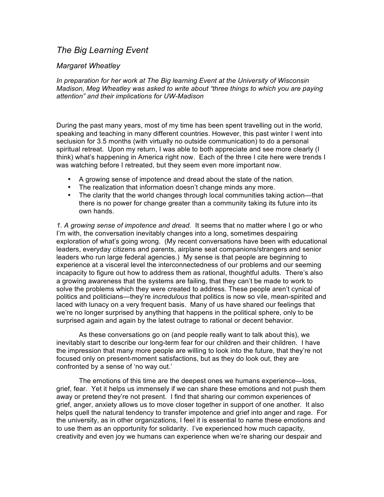## *The Big Learning Event*

## *Margaret Wheatley*

*In preparation for her work at The Big learning Event at the University of Wisconsin Madison, Meg Wheatley was asked to write about "three things to which you are paying attention" and their implications for UW-Madison*

During the past many years, most of my time has been spent travelling out in the world, speaking and teaching in many different countries. However, this past winter I went into seclusion for 3.5 months (with virtually no outside communication) to do a personal spiritual retreat. Upon my return, I was able to both appreciate and see more clearly (I think) what's happening in America right now. Each of the three I cite here were trends I was watching before I retreated, but they seem even more important now.

- A growing sense of impotence and dread about the state of the nation.
- The realization that information doesn't change minds any more.
- The clarity that the world changes through local communities taking action—that there is no power for change greater than a community taking its future into its own hands.

*1. A growing sense of impotence and dread.* It seems that no matter where I go or who I'm with, the conversation inevitably changes into a long, sometimes despairing exploration of what's going wrong. (My recent conversations have been with educational leaders, everyday citizens and parents, airplane seat companions/strangers and senior leaders who run large federal agencies.) My sense is that people are beginning to experience at a visceral level the interconnectedness of our problems and our seeming incapacity to figure out how to address them as rational, thoughtful adults. There's also a growing awareness that the systems are failing, that they can't be made to work to solve the problems which they were created to address. These people aren't cynical of politics and politicians—they're *incredulous* that politics is now so vile, mean-spirited and laced with lunacy on a very frequent basis. Many of us have shared our feelings that we're no longer surprised by anything that happens in the political sphere, only to be surprised again and again by the latest outrage to rational or decent behavior.

As these conversations go on (and people really want to talk about this), we inevitably start to describe our long-term fear for our children and their children. I have the impression that many more people are willing to look into the future, that they're not focused only on present-moment satisfactions, but as they do look out, they are confronted by a sense of 'no way out.'

The emotions of this time are the deepest ones we humans experience—loss, grief, fear. Yet it helps us immensely if we can share these emotions and not push them away or pretend they're not present. I find that sharing our common experiences of grief, anger, anxiety allows us to move closer together in support of one another. It also helps quell the natural tendency to transfer impotence and grief into anger and rage. For the university, as in other organizations, I feel it is essential to name these emotions and to use them as an opportunity for solidarity. I've experienced how much capacity, creativity and even joy we humans can experience when we're sharing our despair and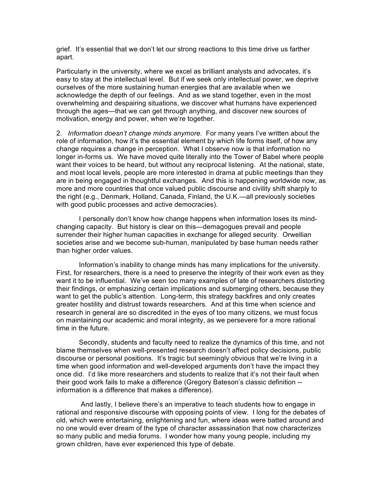grief. It's essential that we don't let our strong reactions to this time drive us farther apart.

Particularly in the university, where we excel as brilliant analysts and advocates, it's easy to stay at the intellectual level. But if we seek only intellectual power, we deprive ourselves of the more sustaining human energies that are available when we acknowledge the depth of our feelings. And as we stand together, even in the most overwhelming and despairing situations, we discover what humans have experienced through the ages—that we can get through anything, and discover new sources of motivation, energy and power, when we're together.

2*. Information doesn't change minds anymore.* For many years I've written about the role of information, how it's the essential element by which life forms itself, of how any change requires a change in perception. What I observe now is that information no longer in-forms us. We have moved quite literally into the Tower of Babel where people want their voices to be heard, but without any reciprocal listening. At the national, state, and most local levels, people are more interested in drama at public meetings than they are in being engaged in thoughtful exchanges. And this is happening worldwide now, as more and more countries that once valued public discourse and civility shift sharply to the right (e.g., Denmark, Holland, Canada, Finland, the U.K.—all previously societies with good public processes and active democracies).

I personally don't know how change happens when information loses its mindchanging capacity. But history is clear on this—demagogues prevail and people surrender their higher human capacities in exchange for alleged security. Orwellian societies arise and we become sub-human, manipulated by base human needs rather than higher order values.

Information's inability to change minds has many implications for the university. First, for researchers, there is a need to preserve the integrity of their work even as they want it to be influential. We've seen too many examples of late of researchers distorting their findings, or emphasizing certain implications and submerging others, because they want to get the public's attention. Long-term, this strategy backfires and only creates greater hostility and distrust towards researchers. And at this time when science and research in general are so discredited in the eyes of too many citizens, we must focus on maintaining our academic and moral integrity, as we persevere for a more rational time in the future.

Secondly, students and faculty need to realize the dynamics of this time, and not blame themselves when well-presented research doesn't affect policy decisions, public discourse or personal positions. It's tragic but seemingly obvious that we're living in a time when good information and well-developed arguments don't have the impact they once did. I'd like more researchers and students to realize that it's not their fault when their good work fails to make a difference (Gregory Bateson's classic definition - information is a difference that makes a difference).

And lastly, I believe there's an imperative to teach students how to engage in rational and responsive discourse with opposing points of view. I long for the debates of old, which were entertaining, enlightening and fun, where ideas were batted around and no one would ever dream of the type of character assassination that now characterizes so many public and media forums. I wonder how many young people, including my grown children, have ever experienced this type of debate.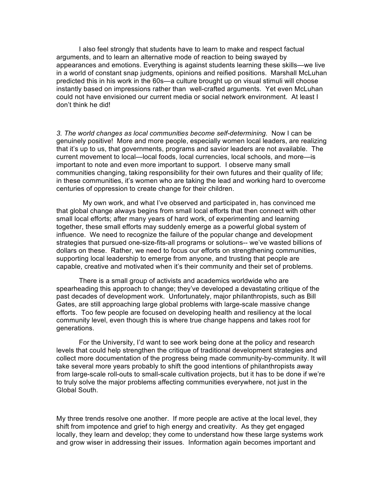I also feel strongly that students have to learn to make and respect factual arguments, and to learn an alternative mode of reaction to being swayed by appearances and emotions. Everything is against students learning these skills—we live in a world of constant snap judgments, opinions and reified positions. Marshall McLuhan predicted this in his work in the 60s—a culture brought up on visual stimuli will choose instantly based on impressions rather than well-crafted arguments. Yet even McLuhan could not have envisioned our current media or social network environment. At least I don't think he did!

*3. The world changes as local communities become self-determining.* Now I can be genuinely positive! More and more people, especially women local leaders, are realizing that it's up to us, that governments, programs and savior leaders are not available. The current movement to local—local foods, local currencies, local schools, and more—is important to note and even more important to support. I observe many small communities changing, taking responsibility for their own futures and their quality of life; in these communities, it's women who are taking the lead and working hard to overcome centuries of oppression to create change for their children.

 My own work, and what I've observed and participated in, has convinced me that global change always begins from small local efforts that then connect with other small local efforts; after many years of hard work, of experimenting and learning together, these small efforts may suddenly emerge as a powerful global system of influence. We need to recognize the failure of the popular change and development strategies that pursued one-size-fits-all programs or solutions-- we've wasted billions of dollars on these. Rather, we need to focus our efforts on strengthening communities, supporting local leadership to emerge from anyone, and trusting that people are capable, creative and motivated when it's their community and their set of problems.

There is a small group of activists and academics worldwide who are spearheading this approach to change; they've developed a devastating critique of the past decades of development work. Unfortunately, major philanthropists, such as Bill Gates, are still approaching large global problems with large-scale massive change efforts. Too few people are focused on developing health and resiliency at the local community level, even though this is where true change happens and takes root for generations.

For the University, I'd want to see work being done at the policy and research levels that could help strengthen the critique of traditional development strategies and collect more documentation of the progress being made community-by-community. It will take several more years probably to shift the good intentions of philanthropists away from large-scale roll-outs to small-scale cultivation projects, but it has to be done if we're to truly solve the major problems affecting communities everywhere, not just in the Global South.

My three trends resolve one another. If more people are active at the local level, they shift from impotence and grief to high energy and creativity. As they get engaged locally, they learn and develop; they come to understand how these large systems work and grow wiser in addressing their issues. Information again becomes important and